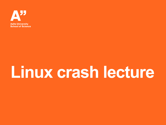

# **Linux crash lecture**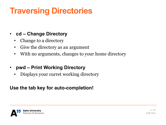### **Traversing Directories**

#### • **cd – Change Directory**

- Change to a directory
- Give the directory as an argument
- With no arguments, changes to your home directory
- **pwd – Print Working Directory**
	- Displays your curret working directory

#### **Use the tab key for auto-completion!**

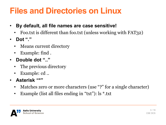### **Files and Directories on Linux**

- **By default, all file names are case sensitive!**
	- Foo.txt is different than foo.txt (unless working with FAT32)
- **Dot "."**
	- Means current directory
	- Example: find *.*
- **Double dot ".."**
	- The previous directory
	- Example: cd ..
- **Asterisk "\*"**
	- Matches zero or more characters (use "?" for a single character)
	- Example (list all files ending in "txt"): ls \*.txt

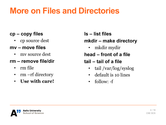### **More on Files and Directories**

- **cp – copy files**
	- cp source dest
- **mv – move files**
	- mv source dest

#### **rm – remove file/dir**

- rm file
- rm –rf directory
- **Use with care!**

**ls – list files**

#### **mkdir – make directory**

• mkdir mydir

#### **head – front of a file**

#### **tail – tail of a file**

- tail /var/log/syslog
- default is 10 lines
- follow:  $-f$

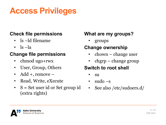### **Access Privileges**

#### **Check file permissions**

- ls –ld filename
- $\lg \lg$

#### **Change file permissions**

- chmod ugo+rwx
- User, Group, Others
- Add +, remove –
- Read, Write, eXecute
- S = Set user id or Set group id (extra rights)

#### **What are my groups?**

• groups

#### **Change ownership**

- chown change user
- chgrp change group

#### **Switch to root shell**

- su
- $sudo -s$
- See also /etc/sudoers.d/

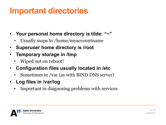### **Important directories**

- **Your personal home directory is tilde: "~"**
	- Usually maps to /home/myaccountname
- **Superuser home directory is /root**
- **Temporary storage in /tmp**
	- Wiped out on reboot!
- **Configuration files usually located in /etc**
	- Sometimes in /var (as with BIND DNS server)
- **Log files in /var/log**
	- Important in diagnosing problems with services

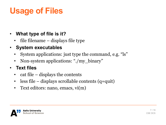## **Usage of Files**

#### • **What type of file is it?**

- file filename displays file type
- **System executables**
	- System applications: just type the command, e.g. "ls"
	- Non-system applications: "./my\_binary"
- **Text files**
	- cat file displays the contents
	- less file displays scrollable contents (q=quit)
	- Text editors: nano, emacs, vi(m)

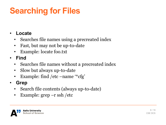## **Searching for Files**

#### • **Locate**

- Searches file names using a precreated index
- Fast, but may not be up-to-date
- Example: locate foo.txt
- **Find**
	- Searches file names without a precreated index
	- Slow but always up-to-date
	- Example: find /etc –name '\*cfg'
- **Grep**
	- Search file contents (always up-to-date)
	- Example: grep –r ssh /etc

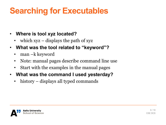### **Searching for Executables**

#### • **Where is tool xyz located?**

- which xyz displays the path of xyz
- **What was the tool related to "keyword"?**
	- man –k keyword
	- Note: manual pages describe command line use
	- Start with the examples in the manual pages
- **What was the command I used yesterday?**
	- history displays all typed commands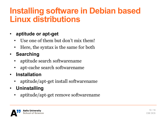### **Installing software in Debian based Linux distributions**

#### • **aptitude or apt-get**

- Use one of them but don't mix them!
- Here, the syntax is the same for both
- **Searching**
	- aptitude search softwarename
	- apt-cache search softwarename
- **Installation**
	- aptitude/apt-get install softwarename
- **Uninstalling**
	- aptitude/apt-get remove softwarename

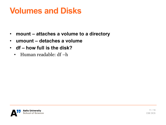### **Volumes and Disks**

- **mount – attaches a volume to a directory**
- **umount – detaches a volume**
- **df – how full is the disk?**
	- Human readable: df –h

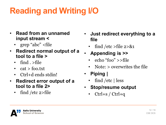## **Reading and Writing I/O**

- **Read from an unnamed input stream <**
	- grep "abc" <file
- **Redirect normal output of a tool to a file >**
	- find  $\epsilon$  >file
	- cat > foo.txt
	- Ctrl+d ends stdin!
- **Redirect error output of a tool to a file 2>**
	- find /etc  $2>$ file
- **Just redirect everything to a file**
	- find /etc  $>$ file 2 $>$ &1
- **Appending is >>**
	- echo "foo"  $\ge$ file
	- Note: > overwrites the file
- **Piping |**
	- find /etc  $|$  less
- **Stop/resume output**
	- Ctrl+s / Ctrl+q

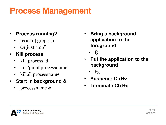### **Process Management**

- **Process running?**
	- ps axu | grep ssh
	- Or just "top"
- **Kill process**
	- kill process id
	- kill 'pidof processname'
	- killall processname
- **Start in background &**
	- processname &
- **Bring a background application to the foreground**
	- fg
- **Put the application to the background**
	- bg
- **Suspend: Ctrl+z**
- **Terminate Ctrl+c**

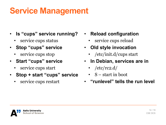### **Service Management**

- **Is "cups" service running?**
	- service cups status
- **Stop "cups" service**
	- service cups stop
- **Start "cups" service**
	- service cups start
- **Stop + start "cups" service**
	- service cups restart
- **Reload configuration**
	- service cups reload
- **Old style invocation**
	- /etc/init.d/cups start
- **In Debian, services are in**
	- $/etc/rc2.d/$
	- S start in boot
- **"runlevel" tells the run level**

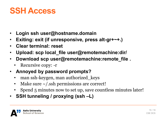### **SSH Access**

- **Login ssh user@hostname.domain**
- **Exiting: exit (if unresponsive, press alt-gr+~+.)**
- **Clear terminal: reset**
- **Upload: scp local\_file user@remotemachine:dir/**
- **Download scp user@remotemachine:remote\_file .**
	- Recursive copy: -r
- **Annoyed by password prompts?**
	- man ssh-keygen, man authorized\_keys
	- Make sure  $\sim$ /.ssh permissions are correct!
	- Spend 5 minutes now to set up, save countless minutes later!
- **SSH tunneling / proxying (ssh –L)**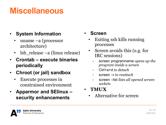### **Miscellaneous**

#### • **System Information**

- uname –a (processor architecture)
- lsb\_release –a (linux release)
- **Crontab – execute binaries periodically**
- **Chroot (or jail) sandbox**
	- Execute processes in constrained environment
- **Apparmor and SElinux – security enhancements**

#### • **Screen**

- Exiting ssh kills running processes
- Screen avoids this (e.g. for IRC sessions)
	- screen programname *opens up the program inside a screen*
	- Ctrl+a+d *to detach*
	- screen –r *to reattach*
	- screen –list *lists all opened screen sockets*
- **TMUX**
	- Alternative for screen

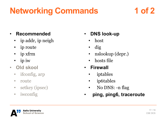### **Networking Commands 1 of 2**

### • **Recommended**

- ip addr, ip neigh
- ip route
- ip xfrm
- ip iw
- **Old skool**
	- ifconfig, arp
	- route
	- setkey (ipsec)
	- iwconfig

### • **DNS look-up**

- host
- dig
- nslookup (depr.)
- hosts file
- **Firewall**
	- iptables
	- ip6tables
	- No DNS: -n flag
- **ping, ping6, traceroute**

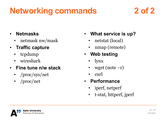### **Networking commands 2 of 2**

- **Netmasks**
	- netmask nw/mask
- **Traffic capture**
	- tcpdump
	- wireshark
- **Fine tune n/w stack**
	- /proc/sys/net
	- /proc/net
- **What service is up?**
	- netstat (local)
	- nmap (remote)
- **Web testing**
	- lynx
	- wget (note  $-r$ )
	- curl
- **Performance**
	- iperf, netperf
	- t-stat, httperf, jperf